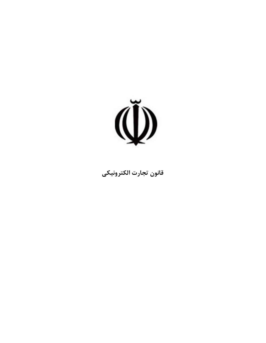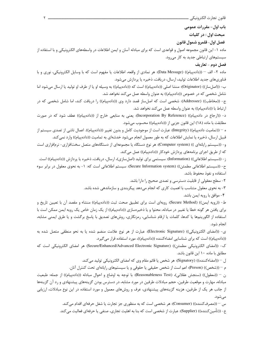باب اول - مقررات عمومي

مبحث اول : در كليات

فصل اول قلمرو شمول قانون

ماده ۱– این قانون مجموعه اصول و قواعدی است که برای مبادله آسان و ایمن اطلاعات در واسطههای الکترونیکی و با استفاده از سیستمهای ارتباطی جدید به کار میرود.

## فصل دوم تعاريف

ماده ۲- الف – ((دادهپیام)) (Data Message): هر نمادی از واقعه، اطلاعات یا مفهوم است که با وسایل الکترونیکی، نوری و با فناوریهای جدید اطلاعات تولید، ارسال، دریافت، ذخیره یا پردازش میشود.

ب- ((اصلساز)) (Originator): منشا اصلي ((دادهپيام)) است كه ((دادهپيام)) به وسيله او يا از طرف او توليد يا ارسال ميشود اما شامل شخصی که در خصوص ((دادهپیام)) به عنوان واسطه عمل میکند نخواهد شد.

ج- ((مخاطب)) (Addressee): شخصی است که اصلساز قصد دارد وی ((دادهپیام)) را دریافت کند، اما شامل شخصی که در ارتباط با ((دادهپیام)) به عنوان واسطه عمل میکند نخواهد شد.

د- ((ارجاع در دادهپیام)) (Incorporation By Reference): یعنی به منابعی خارج از ((دادهپیام)) عطف شود که در صورت مطابقت با ماده (١٨) این قانون جزیی از ((دادهپیام)) محسوب میشود.

ه – ((تماميت دادهپيام)) (Integrity): عبارت است از موجوديت كامل و بدون تغيير ((دادهپيام)). اعمال ناشي از تصدى سيستم از قبیل ارسال، ذخیره یا نمایش اطلاعات که به طور معمول انجام میشود خدشهای به تمامیت ((دادهپیام)) وارد نمیکند.

و- ((سیستم رایانهای )) (Computer system): هر نوع دستگاه یا مجموعهای از دستگاههای متصل سختافزاری- نرمافزاری است كه از طريق اجراي برنامههاي پردازش خودكار ((دادهپيام)) عمل ميكند.

ز - ((سیستم اطلاعاتی)) (Information): سیستمی برای تولید (اصلسازی)، ارسال، دریافت، ذخیره یا پردازش ((دادهپیام)) است. ح- ((سيستم اطلاعاتي مطمئن)) (Secure Information system): سيستم اطلاعاتي است كه: ١- به نحوى معقول در برابر سوء استفاده و نفوذ محفوظ باشد.

۲- سطح معقولی از قابلیت دسترسی و تصدی صحیح را دارا باشد.

۳- به نحوی معقول متناسب با اهمیت کاری که انجام میدهد پیکربندی و سازماندهی شده باشد. ۴- موافق با رويه ايمن باشد.

ط- ((رويه ايمن)) (Secure Method): رويهاي است براي تطبيق صحت ثبت ((دادهپيام)) منشاء و مقصد آن با تعيين تاريخ و براي يافتن هر گونه خطا يا تغيير در مبادله، محتوا و يا ذخيرهسازي ((دادهپيام)) از يک زمان خاص يک رويه ايمن ممکن است با استفاده از الگوريتمها يا كدها، كلمات يا ارقام شناسايي، رمزنگاري، روشهاي تصديق با پاسخ برگشت و يا طرق ايمني مشابه، انجام شود.

ى- ((امضاى الكترونيكي)) (Electronic Signature): عبارت از هر نوع علامت منضم شده يا به نحو منطقى متصل شده به ((داده پیام)) است که برای شناسایی امضاءکننده ((داده پیام))، مورد استفاده قرار می گیرد.

ك- ((امضاي الكترونيكي مطمئن)) (Secure/Enhanced/Advanced Electronic Signature) هر امضاي الكترونيكي است كه مطابق با ماده ۱۰ این قانون باشد.

ل — ((امضاءكننده)) (Signatory): هر شخص يا قائم مقام وي كه امضاي الكترونيكي توليد ميكند.

م – ((شخص)) (Person): اعم است از شخص حقیقی یا حقوقی و یا سیستمهای رایانهای تحت کنترل آنان.

ن – ((معقول)) (سنجش عقلاني)، (Reasonableness Test): با توجه به اوضاع و احوال مبادله ((دادهپیام)) از جمله: طبعیت مبادله، مهارت و موقعیت طرفین، حجم مبادلات طرفین در مورد مشابه، در دسترس بودن گزینههای پیشنهادی و رد آن گزینهها از جانب هر یک از طرفین، هزینه گزینههای پیشنهادی، عرف و روشهای معمول و مورد استفاده در این نوع مبادلات، ارزیابی می شود.

> س – ((مصرف کننده)) (Consumer): هر شخصی است که به منظوری جز تجارت یا شغل حرفهای اقدام می کند. ع- ((تأمين كننده)) (Supplier): عبارت از شخصي است كه بنا به اهليت تجاري، صنفي يا حرفهاي فعاليت مي كند.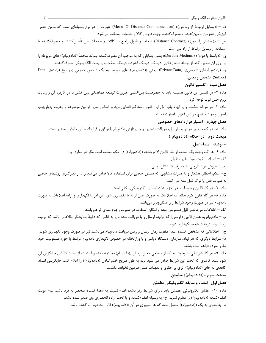ف – ((وسایل ارتباط از راه دور)) (Means Of Distance Communication): عبارت از هر نوع وسیلهای است که بدون حضور فيزيكي همزمان تأمين كننده و مصرف كننده جهت فروش كالا و خدمات استفاده مي شود. ص – ((عقد از راه دور)) (Distance Contract): ايجاب و قبول راجع به كالاها و خدمات بين تأمينكننده و مصرفكننده با استفاده از وسایل ارتباط از راه دور است. ق- ((واسط با دوام)) (Durable Medium): يعني وسايلي كه به موجب آن مصرف⁄كننده بتواند شخصاً ((دادهپيام)) هاي مربوطه را بر روی آن ذخیره کند از جمله شامل فلایی دیسک، دیسک فشرده، دیسک سخت و یا پست الکترونیکی مصرف کننده. ر- ((دادهپیامهای شخصی)) (Private Data): یعنی ((دادهپیام)) های مربوط به یک شخص حقیقی (موضوع ((داده)) Data Subject) مشخص و معین. فصل سوم – تفسير قانون ماده ۳- در تفسیر این قانون همیشه باید به خصوصیت بین|لمللی، ضرورت توسعه هماهنگی بین کشورها در کاربرد آن و رعایت لزوم حس نيت توجه كرد. ماده ۴- در مواقع سکوت و یا ابهام باب اول این قانون، محاکم قضایی باید بر اساس سایر قوانین موضوعه و رعایت چهارچوب فصول و مواد مندرج در این قانون، قضاوت نمایند. فصل چهارم -اعتبار قراردادهای خصوصی ماده ۵- هر گونه تغییر در تولید، ارسال، دریافت، ذخیره و یا پردازش دادهپیام با توافق و قرارداد خاص طرفین معتبر است. مبحث دوم - در احکام ((دادهییام)) – نوشته، امضاء اصل ماده ۶– هر گاه وجود یک نوشته از نظر قانون لازم باشد، ((دادهپیام)) در حکم نوشته است مگر در موارد زیر: الف – اسناد مالكيت اموال غير منقول. ب – فروش مواد دارويي به مصرف كنندگان نهايي. ج- اعلام، اخطار، هشدار و یا عبارات مشابهی که دستور خاصی برای استفاده کالا صادر میکند و یا از بکارگیری روشهای خاصی به صورت فعل یا ترک فعل منع می کند. ماده ٧- هر گاه قانون وجود امضاء را لازم بداند امضاى الكترونيكي مكفى است. ماده ٨- هر گاه قانون لازم بداند كه اطلاعات به صورت اصل ارايه يا نگهداري شود اين امر يا نگهداري و ارايه اطلاعات به صورت دادهپیام نیز در صورت وجود شرایط زیر امکان پذیر می باشد: الف – اطلاعات مورد نظر قابل دسترسی بوده و امکان استفاده در صورت رجوع بعدی فراهم باشد. ب – دادهپیام به همان قالبی (فرمتی) که تولید، ارسال و یا دریافت شده و یا به قالبی که دقیقاً نمایشگر اطلاعاتی باشد که تولید، ارسال و یا دریافت شده، نگهداری شود. ج – اطلاعاتی که مشخص کننده مبدا، مقصد، زمان ارسال و زمان دریافت دادهپیام می باشند نیز در صورت وجود نگهداری شوند. د- شرایط دیگری که هر نهاد، سازمان، دستگاه دولتی و یا وزارتخانه در خصوص نگهداری دادهییام مرتبط با حوزه مسئولیت خود مقرر نموده فراهم شده باشد. ماده ۹- هر گاه شرايطي به وجود آيد كه از مقطعي معين ارسال ((دادهپيام)) خاتمه يافته و استفاده از اسناد كاغذي جايگزين آن شود سند كاغذى كه تحت اين شرايط صادر مى شود بايد به طور صريح ختم تبادل ((دادهپيام)) را اعلام كند. جايگزينى اسناد کاغذی به جای ((دادهپیام)) اثری بر حقوق و تعهدات قبلی طرفین نخواهد داشت. مبحث سوم –((دادهپیام)) مطمئن فصل اول- امضاء و سابقه الكترونيكي مطمئن ماده ۱۰- امضای الکترونیکی مطمئن باید دارای شرایط زیر باشد: الف- نسبت به امضاءکننده منحصر به فرد باشد. ب- هویت امضا،کننده ((دادهپیام)) را معلوم نماید. ج- به وسیله امضا،کننده و یا تحت اراده انحصاری وی صادر شده باشد.

د- به نحوی به یک ((دادهپیام)) متصل شود که هر تغییری در آن ((دادهپیام)) قابل تشخیص و کشف باشد.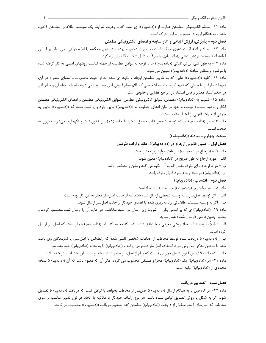ماده ١١- سابقه الكترونيكي مطمئن عبارت از ((دادهپيام)) ي است كه با رعايت شرايط يک سيستم اطلاعاتي مطمئن ذخيره

شده و به هنگام لزوم در دسترس و قابل در ک است. فصل دوم- پذیرش، ارزش اثباتی و آثار سابقه و امضای الکترونیکی مطمئن

ماده ۱۲- اسناد و ادله اثبات دعوی ممکن است به صورت دادهپیام بوده و در هیچ محکمه یا اداره دولتی نمی توان بر اساس قواعد ادله موجود، ارزش اثباتي ((دادهپيام)) را صرفاً به دليل شكل و قالب آن رد كرد.

ماده ۱۳- به طور کلی، ارزش اثباتی ((دادهپیام)) ها با توجه به عوامل مطمئنه از جمله تناسب روشهای ایمنی به کار گرفته شده با موضوع و منظور مبادله ((دادهپیام)) تعیین می شود.

ماده ۱۴- کلیه ((دادهپیام)) هایی که به طریق مطمئن ایجاد و نگهداری شده اند از حیث محتویات و امضای مندرج در آن، تعهدات طرفین یا طرفی که تعهد کرده و کلیه اشخاصی که قائم مقام قانونی آنان محسوب می شوند، اجرای مفاد آن و سایر آثار در حکم اسناد معتبر و قابل استناد در مراجع قضایی و حقوقی است.

ماده ۱۵- نسبت به ((دادهپیام)) مطمئن، سوابق الكترونیكی مطمئن، سوابق الكترونیكی مطمئن و امضای الكترونیكی مطمئن انکار و تردید مسموع نیست و تنها میتوان ادعای جعلیت به ((دادهپیام)) مزبور وارد و یا ثابت نمود که ((دادهپیام)) مزبور به جهتی از جهات قانونی از اعتبار افتاده است.

ماده ۱۶- هر ((دادهپیام)) ی که توسط شخص ثالث مطابق با شرایط ماده (۱۱) این قانون ثبت و نگهداری میشود، مقرون به صحت است.

## مبحث چهارم -مبادله ((دادهییام))

فصل اول -اعتبار قانونی ارجاع در ((دادهپیام))، عقد و اراده طرفین ماده ١٧- ((ارجاع در دادهپیام)) با رعایت موارد زیر معتبر است: الف – مورد ارجاع به طور صريح در ((دادهپيام)) معين شود. ب – مورد ارجاع برای طرف مقابل که به آن تکیه می کند روشن و مشخص باشد. ج- ((دادهپیام)) موضوع ارجاع مورد قبول طرف باشد. فصل دوم -انتساب ((دادهپیام)) ماده ١٨- در موارد زير ((دادهپيام)) منسوب به اصل ساز است. الف – اگر توسط اصل ساز یا به وسیله شخصی ارسال شده باشد که از جانب اصل ساز مجاز به این کار بوده است. ب — اگر به وسیله سیستم اطلاعاتی برنامه ریزی شده یا تصدی خودکار از جانب اصل ساز ارسال شود. ماده ۱۹- ((دادهپیام)) ی که بر اساس یکی از شروط زیر ارسال می شود مخاطب حق دارد آن را ارسال شده محسوب کرده، و مطابق چنین فرضی (ارسال شده) عمل نماید: الف – قبلاً به وسيله اصلساز روشي معرفي و يا توافق شده باشد كه معلوم كند آيا ((دادهپيام)) همان است كه اصلساز ارسال کر ده است. ب – ((دادهییام)) دریافت شده توسط مخاطب از اقدامات شخصی ناشی شده که رابطهاش با اصل ساز، یا نمایندگان وی باعث شده تا شخص مذکور به روش مورد استفاده اصلساز دسترسی یافته و ((دادهپیام)) را به مثابه ((دادهپیام)) خود بشناسد.

ماده ۲۰- ماده (۱۹) این قانون شامل مواردی نیست که پیام از اصلساز صادر نشده باشد و یا به طور اشتباه صادر شده باشد. ماده ٢١- هر ((دادهپیام)) یک ((دادهپیام)) مجزا و مستقل محسوب می گردد، مگر آن که معلوم باشد که آن ((دادهپیام)) نسخه مجددی از ((دادهپیام)) اولیه است.

## فصل سوم- تصديق دريافت

ماده ٢٢- هر گاه قبل يا به هنگام ارسال ((دادهپيام)) اصلساز از مخاطب بخواهد يا توافق كنند كه دريافت ((دادهپيام)) تصديق شود، اگر به شکل یا روش تصدیق توافق نشده باشد، هر نوع ارتباط خودکار یا مکاتبه یا اتخاذ هر نوع تدبیر مناسب از سوی مخاطب كه اصلساز را نحو معقول از دريافت ((دادهپيام)) مطمئن كند تصديق دريافت ((دادهپيام)) محسوب مي گردد.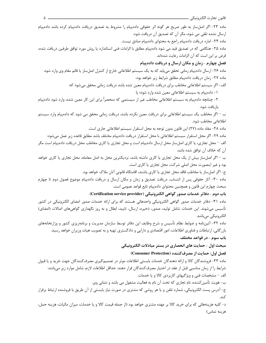ماده ٢٣- اگر اصلساز به طور صريح هر گونه اثر حقوقي دادهپيام را مشروط به تصديق دريافت دادهپيام كرده باشد دادهپيام ارسال نشده تلقی می شود، مگر آن که تصدیق آن دریافت شود. ماده ۲۴- اماره دریافت دادهپیام راجع به محتوای دادهپیام صادق نیست.

ماده ۲۵- هنگامی که در تصدیق قید می شود دادهپیام مطابق با الزامات فنی استاندارد یا روش مورد توافق طرفین دریافت شده، فرض بر این است که آن الزامات رعایت شدهاند.

## فصل چهارم - زمان و مکان ارسال و دریافت دادهپیام

ماده ۲۶- ارسال دادهپیام زمانی تحقق می یابد که به یک سیستم اطلاعاتی خارج از کنترل اصلساز یا قائم مقام وی وارد شود. ماده ٢٧- زمان دريافت دادهپيام مطابق شرايط زير خواهد بود:

الف- اگر سیستم اطلاعاتی مخاطب برای دریافت دادهپیام معین شده باشد دریافت زمانی محقق می شود که:

١- دادهپیام به سیستم اطلاعاتی معین شده وارد شود؛ یا

۲- چنانچه دادهپیام به سیستم اطلاعاتی مخاطب غیر از سیستمی که منحصراً برای این کار معین شده، وارد شود دادهپیام بازيافت شود.

ب – اگر مخاطب یک سیستم اطلاعاتی برای دریافت معین نکرده باشد، دریافت زمانی محقق می شود که دادهپیام وارد سیستم اطلاعاتی مخاطب شود.

ماده ٢٨- مفاد ماده (٢٧) اين قانون بدون توجه به محل استقرار سيستم اطلاعاتي جاري است.

ماده ٢٩- اگر محل استقرار سيستم اطلاعاتي با محل استقرار دريافت دادهپيام مختلف باشد مطابق قاعده زير عمل مي شود:

الف – محل تجاری، یا کاری اصلساز محل ارسال دادهپیام است و محل تجاری یا کاری مخاطب محل دریافت دادهپیام است مگر آن كه خلاف آن توافق شده باشد.

ب – اگر اصلساز بیش از یک محل تجاری یا کاری داشته باشد، نزدیکترین محل به اصل معامله، محل تجاری یا کاری خواهد بود و غیر اینصورت محل اصلی شرکت، محل تجاری یا کاری است.

ج- اگر اصلساز یا مخاطب فاقد محل تجاری یا کاری باشند، اقامتگاه قانونی آنان ملاک خواهد بود.

ماده ۳۰- آثار حقوقی پس از انتساب، دریافت تصدیق و زمان و مکان ارسال و دریافت دادهپیام موضوع فصول دوم تا چهارم مبحث چهارم این قانون و همچنین محتوای دادهپیام تابع قواعد عمومی است.

باب دوم - دفاتر خدمات صدور گواهي الكترونيكي (Certification service provider)

ماده ۳۱- دفاتر خدمات صدور گواهی الکترونیکی واحدهائی هستند که برای ارائه خدمات صدور امضای الکترونیکی در کشور تأسیس میشوند. این خدمات شامل تولید، صدور، ذخیره، ارسال، تایید، ابطال و به روز نگهداری گواهیهای اصالات (امضای) الکترونیکے مے باشد.

ماده ۳۲- آئیننامه و ضوابط نظام تأسیس و شرح وظایف این دفاتر توسط سازمان مدیریت و برنامهریزی کشور و وزارتخانههای بازرگانی، ارتباطات و فناوری اطلاعات، امور اقتصادی و دارایی و دادگستری تهیه و به تصویب هیات وزیران خواهد رسید. باب سوم - در قواعد مختلف

#### مبحث اول - حمایت های انحصاری در بستر مبادلات الکترونیکی

#### فصل اول: حمايت از مصرف كننده (Consumer Protection)

ماده ۳۳- فروشندگان کالا و ارائه دهندگان خدمات بایستی اطلاعات موثر در تصمیمگیری مصرفکنندگان جهت خرید و یا قبول شرايط را از زمان مناسبي قبل از عقد در اختيار مصرفكنندگان قرار دهند. حداقل اطلاعات لازم، شامل موارد زير مي باشد: الف – مشخصات فنی و ویژگیهای کاربردی کالا و یا خدمات. ب- هويت تأمين كننده، نام تجاري كه تحت آن نام به فعاليت مشغول مي باشد و نشاني وي.

ج- آدرس پست الکترونیکی، شماره تلفن و یا هر روشی که مشتری در صورت نیاز بایستی از آن طریق با فروشنده ارتباط برقرار كند.

د- کلیه هزینههائی که برای خرید کالا بر عهده مشتری خواهد بود (از جمله قیمت کالا و یا خدمات، میزان مالیات، هزینه حمل، هزينه تماس)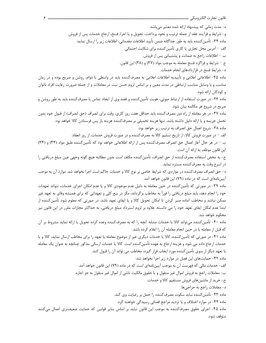ه- مدت زمانی که پیشنهاد ارائه شده معتبر میباشد. و- شرايط و فرآيند عقد از جمله ترتيب و نحوه پرداخت، تحويل و يا اجرا، فسخ، ارجاع خدمات پس از فروش. ماده ٣۴- تأمين كننده بايد به طور جداگانه ضمن تأييد اطلاعات مقدماتي، اطلاعات زير را ارسال نمايد: الف – آدرس محل تجاري يا كاري تأمين كننده براي شكايت احتمالي. ب – اطلاعات راجع به ضمانت و پشتیبانی پس از فروش. ج – شرايط و فراگرد فسخ معامله به موجب مواد (٣٧) و (٣٨) اين قانون. د- شرایط فسخ در قراردادهای انجام خدمات. ماده ۳۵- اطلاعاتی اعلامی و تأییدیه اطلاعات اعلامی به مصرف¢ننده باید در واسطی با دوام، روشن و صریح بوده و در زمان مناسب و با وسایل مناسب ارتباطی در مدت معین و بر اساس لزوم حسن نیت در معاملات و از جمله ضرورت رعایت افراد ناتوان و کودکان ارائه شود. ماده ۳۶- در صورت استفاده از ارتباط صوتی، هویت تأمین کننده و قصد وی از ایجاد تماس با مصرف کننده باید به طور روشن و صریح در شروع هر مکالمه بیان شود. ماده ٣٧- در هر معامله از راه دور مصرف كننده بايد حداقل هفت روز كارى، وقت براى انصراف (حق انصراف) از قبول خود بدون تحمل جريمه و يا ارائه دليل داشته باشد. تنها هزينه تحميلي بر مصرف كننده هزينه باز پس فرستادن كالا خواهد بود: ماده ٣٨- شروع اعمال حق انصراف به ترتيب زير خواهد بود: الف — در صورت فروش كالا، از تاريخ تسليم كالا به مصرف كننده و در صورت فروش خدمات، از روز انعقاد. ب – در هر حال آغاز اعمال حق انصراف مصرفکننده پس از ارائه اطلاعاتی خواهد بود که تأمینکننده طبق مواد (۳۳) و (۳۴) این قانون موظف به ارائه آن است. ج- به محض استفاده مصرفکننده از حق انصراف، تأمينکننده مکلف است بدون مطالبه هيچ گونه وجهي عين مبلغ دريافتي را در اسرع وقت به مصرف کننده مسترد نماید. د- حق انصراف مصرفکننده در مواردی که شرایط خاصی بر نوع کالا و خدمات حاکم است اجرا نخواهد شد. موارد آن به موجب آییننامهای است که در ماده (۷۹) این قانون خواهد آمد. ماده ۳۹- در صورتی که تأمینکننده در حین معامله به دلیل عدم موجودی کالا و یا عدم امکان اجرای خدمات، نتواند تعهدات خود را انجام دهد، باید مبلغ دریافتی را فوراً به مخاطب برگرداند، مگر در بیع کلی و تعهداتی که برای همیشه وفای به تعهد غیر ممکن نباشد و مخاطب آماده صبر کردن تا امکان تحویل کالا و یا ایفای تعهد باشد. در صورتی که معلوم شود تأمینکننده از ابتدا عدم امکان ایفای تعهد خود را می دانسته. علاوه بر لزوم استرداد مبلغ دریافتی، به حداکثر مجازات مقرر در این قانون نیز محکوم خواهد شد. ماده ۴۰- تأمینکننده میتواند کالا یا خدمات مشابه آنچه را که به مصرفکننده وعده کرده تحویل یا ارائه نماید مشروط بر آن كه قبل از معامله يا در حين انجام معامله آن را اعلام كرده باشد. ماده ۴۱- در صورتی که تأمین کننده، کالا یا خدمات دیگری غیر از موضوع معامله یا تعهد را برای مخاطب ارسال نماید، کالا و یا خدمات ارجاع داده می شود و هزینه ارجاع به عهده تأمین کننده است. کالا یا خدمات ارسالی مذکور چنانچه به عنوان یک معامله یا تعهد دیگر از سوی تأمین کننده مورد ایجاب قرار گیرد، مخاطب می تواند آن را قبول کند. ماده ۴۲- حمایتهای این فصل در موارد زیر اجرا نخواهد شد: الف- خدمات مالی که فهرست آن به موجب آیینiامهای است که در ماده (۷۹) این قانون خواهد آمد. ب- معاملات راجع به فروش اموال غير منقول و يا حقوق مالكيت ناشي از اموال غير منقول به جز اجاره. ج- خرید از ماشینهای فروش مستقیم کالا و خدمات. د- معاملات راجع به حراجی ها. ماده ۴۳- تأمین کننده نباید سکوت مصرف کننده را حمل بر رضایت وی کند. ماده ۴۴- در موارد اختلاف و یا تردید مراجع قضائی رسیدگی خواهند کرد. ماده ۴۵- اجرای حقوق مصرفکننده به موجب این قانون نباید بر اساس سایر قوانین که حمایت ضعیفتری اعمال میکنند متوقف شود.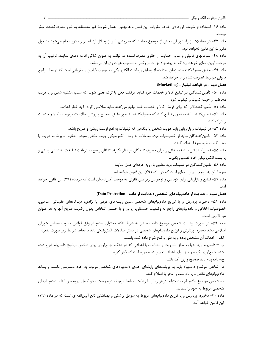ماده ۴۶- استفاده از شروط قراردادی خلاف مقررات این فصل و همچنین اعمال شروط غیر منصفانه به ضرر مصرفکننده، موثر نيست. ماده ۴۷- در معاملات از راه دور آن بخش از موضوع معامله که به روشی غیر از وسائل ارتباط از راه دور انجام میشود مشمول مقررات این قانون نخواهد بود. ماده ۴۸- سازمانهای قانونی و مدنی حمایت از حقوق مصرفکننده می توانند به عنوان شاکی اقامه دعوی نمایند. ترتیب آن به موجب آییننامهای خواهد بود که به پیشنهاد وزارت بازرگانی و تصویب هیات وزیران می باشد. ماده ۴۹- حقوق مصرفکننده در زمان استفاده از وسایل پرداخت الکترونیکی به موجب قوانین و مقرراتی است که توسط مراجع قانونی ذی بط تصویب شده و یا خواهد شد. فصل دوم - در قواعد تبليغ - (Marketing) ماده ۵۰- تأمینکنندگان در تبلیغ کالا و خدمات خود نباید مرتکب فعل یا ترک فعلی شوند که سبب مشتبه شدن و یا فریب مخاطب از حیث کمیت و کیفیت شود. ماده ۵۱– تأمین کنندگانی که برای فروش کالا و خدمات خود تبلیغ میکنند نباید سلامتی افراد را به خطر اندازند. ماده ۵۲– تأمینکننده باید به نحوی تبلیغ کند که مصرفکننده به طور دقیق، صحیح و روشن اطلاعات مربوط به کالا و خدمات ,ا د<sub>ر</sub> ک کند. ماده ۵۳- در تبلیغات و بازاریابی باید هویت شخص یا بنگاهی که تبلیغات به نفع اوست روشن و صریح باشد. ماده ۵۴- تامین کنندگان نباید از خصوصیات ویژه معاملات به روش الکترونیکی جهت مخفی نمودن حقایق مربوط به هویت یا محل کسب خود سوء استفاده کنند. ماده ۵۵– تامین کنندگان باید تمهیداتی را برای مصرف کنندگان در نظر بگیرند تا آنان راجع به دریافت تبلیغات به نشانی پستی و يا پست الكترونيكي خود تصميم بگيرند. ماده ۵۶- تامین کنندگان در تبلیغات باید مطابق با رویه حرفهای عمل نمایند. ضوابط آن به موجب آیین نامهای است که در ماده (۷۹) این قانون خواهد آمد. ماده ۵۷– تبلیغ و بازاریابی برای کودکان و نوجوانان زیر سن قانونی به موجب آییننامهای است که درماده (۷۹) این قانون خواهد آمد.

فصل سوم - حمایت از دادهپیامهای شخصی (حمایت از داده- Data Protection)

ماده ۵۸- ذخیره، پردازش و یا توزیع دادهپیامهای شخصی مبین ریشههای قومی یا نژادی، دیدگاههای عقیدتی، مذهبی، خصوصیات اخلاقی و دادهپیامهای راجع به وضعیت جسمانی، روانی و یا جنسی اشخاص بدون رضایت صریح آنها به هر عنوان غیر قانونی است.

ماده ۵۹- در صورت رضایت شخص موضوع دادهپیام نیز به شرط آنکه محتوای دادهپیام وفق قوانین مصوب مجلس شورای اسلامی باشد ذخیره، پردازش و توزیع دادهپیامهای شخصی در بستر مبادلات الکترونیکی باید با لحاظ شرایط زیر صورت پذیرد: الف – اهداف آن مشخص بوده و به طور واضح شرح داده شده باشند.

ب – دادهپیام باید تنها به اندازه ضرورت و متناسب با اهدافی که در هنگام جمعآوری برای شخص موضوع دادهپیام شرح داده شده جمعآوری گردد و تنها برای اهداف تعیین شده مورد استفاده قرار گیرد.

ج- دادهپیام باید صحیح و روز آمد باشد.

د- شخص موضوع دادهپیام باید به پروندههای رایانهای حاوی دادهپیامهای شخصی مربوط به خود دسترسی داشته و بتواند دادهپیامهای ناقص و یا نادرست را محو یا اصلاح کند.

ه- شخص موضوع دادهپیام باید بتواند درهر زمان با رعایت ضوابط مربوطه درخواست محو کامل پرونده رایانهای دادهپیامهای شخصی مربوط به خود را بنماید.

ماده ۶۰- ذخیره، پردازش و یا توزیع دادهپیامهای مربوط به سوابق پزشکی و بهداشتی تابع آییننامهای است که در ماده (۷۹) اين قانون خواهد آمد.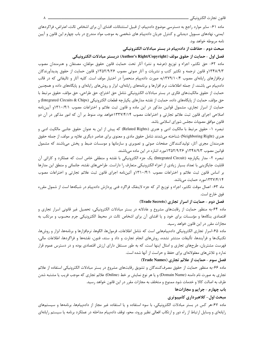ماده ۶۱- سایر موارد راجع به دسترسی موضوع دادهپیام، از قبیل استثنائات، افشای آن برای اشخاص ثالث، اعتراض، فراکردهای ایمنی، نهادهای مسوول دیدبانی و کنترل جریان دادهپیام های شخصی به موجب مواد مندرج در باب چهارم این قانون و آیین نامه مربوطه خواهد بود.

#### مبحث دوم - حفاظت از دادهپیام در بستر مبادلات الکترونیکی

فصل اول -حمايت از حقوق مولف (Author's Right/Copyright) دربستر مبادلات الكترونيكي

ماده ۶۲- حق تکثیر، اجراء و توزیع (عرضه و نشر) آثار تحت حمایت قانون حقوق مولفان، مصنفان و هنرمندان مصوب ۹۳۴۸/۹/۳ و قانون ترجمه و تکثیر کتب و نشریات و آثار صوتی مصوب ۱۳۵۲/۹/۲۶و قانون حمایت از حقوق پدیدآورندگان نرمافزارهای رایانهای مصوب ۱۳۷۹/۱۰/۴به صورت دادهپیام منحصراً در اختیار مولف است. کلیه آثار و تالیفاتی که در قالب دادهپیام می باشند، از جمله اطلاعات، نرم افزارها و برنامههای رایانهای، ابزار و روشهای رایانهای و پایگاههای داده و همچنین حمايت از حقوق مالكيتهاى فكرى در بستر مبادلات الكترونيكي شامل حق اختراع، حق طراحي، حق مؤلف، حقوق مرتبط با حق مؤلف، حمايت از پايگاههاي داده، حمايت از نقشه مدارهاي يكپارچه قطعات الكترونيكي (Integrated Circuits & Chips) و حمایت از اسرار تجاری، مشمول قوانین مذکور در این ماده و قانون ثبت علائم و اختراعات مصوب ۱۳۱۰/۴/۱و آییننامه اصلاحی اجرای قانون ثبت علائم تجارتی و اختراعات مصوب ۱۳۳۷/۴/۱۴ خواهد بود، منوط بر آن که امور مذکور در آن دو قانون موافق مصوبات مجلس شوراي اسلامي باشد.

تبصره ۱- حقوق مرتبط با مالکیت ادبی و هنری (Related Rights) که پیش از این به عنوان حقوق جانبی مالکیت ادبی و هنری (Neighboring Right) شناخته میشدند شامل حقوق مادی و معنوی برای عناصر دیگری علاوه بر مولف، از جمله حقوق هنرمندان مجری آثار، تولیدکنندگان صفحات صوتی و تصویری و سازمانها و موسسات ضبط و پخش میباشند که مشمول قوانین مصوب ۱۳۴۸/۹/۳ و ۱۳۵۲/۹/۲۶مورد اشاره در این ماده میباشند.

تبصره ۲- مدار يكپارچه (Integrated Circuit) يک جزء الکترونيکي با نقشه و منطقي خاص است که عملکرد و کارائي آن قابلیت جایگزینی با تعداد بسیار زیادی از اجزاء الکترونیکی متعارف را داراست. طراحیهای نقشه، جانمائی و منطق این مدارها بر اساس قانون ثبت علائم و اختراعات مصوب ۱۳۱۰/۴/۱ آئیننامه اجرای قانون ثبت علائم تجارتی و اختراعات مصوب ۱۳۳۷/۴/۱۴مورد حمایت میباشد.

ماه ۶۳- اعمال موقت تكثير، اجراء و توزيع اثر كه جزء لاينفك فراگرد فني پردازش دادهپيام در شبكهها است از شمول مقرره فوق خارج است.

#### فصل دوم - حمایت از اسرار تجاری (Trade Secrets)

ماده ۶۴-به منظور حمایت از رقابتهای مشروع و عادلانه در بستر مبادلات الکترونیکی، تحصیل غیر قانونی اسرار تجاری و اقتصادی بنگاهها و مؤسسات برای خود و یا افشای آن برای اشخاص ثالث در محیط الکترونیکی جرم محسوب و مرتکب به مجازات مقرر در این قانون خواهد رسید.

ماده ۶۵-اسرار تجاری الکترونیکی دادهپیامهایی است که شامل اطلاعات، فرمولها، الگوها، نرمافزارها و برنامهها، ابزار و روشها، تكنيكـها و فرآيندها، تأليفات منتشر نشده، روشهاي انجام تجارت و داد و ستد، فنون، نقشهها و فراگردها، اطلاعات مالي، فهرست مشتریان، طرحهای تجاری و امثال اینها است، که به طور مستقل دارای ارزش اقتصادی بوده و در دسترس عموم قرار ندارد و تلاش های معقولانهای برای حفظ و حراست از آنها شده است.

#### فصل سوم - حمایت از علائم تجاری (Trade Names)

ماده ۶۶-به منظور حمایت از حقوق مصرفکنندگان و تشویق رقابتهای مشروع در بستر مبادلات الکترونیکی استفاده از علائم تجاري به صورت نام دامنه (Domain Name) و يا هر نوع نمايش بر خط (Online) علائم تجاري كه موجب فريب يا مشتبه شدن طرف به اصالت کالا و خدمات شود ممنوع و متخلف به مجازات مقرر در این قانون خواهد رسید.

#### باب چهارم - جرايم و مجازاتها

#### مبحث اول- کلاهبرداری کامپیوتری

ماده ۶۷-هر کس در بستر مبادلات الکترونیکی، با سوء استفاده و یا استفاده غیر مجاز از دادهپیامها، برنامهها و سیستمهای رایانهای و وسایل ارتباط از راه دور و ارتکاب افعالی نظیر ورود، محو، توقف دادهپیام مداخله در عملکرد برنامه یا سیستم رایانهای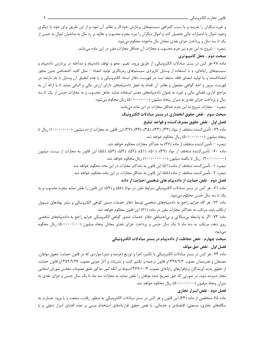و غیره دیگران را بفریبد و یا سبب گمراهی سیستمهای پردازش خودکار و نظایر آن شود و از این طریق برای خود یا دیگری وجوه، اموال یا امتیازات مالی تحصیل کند و اموال دیگران را ببرد مجرم محسوب و علاوه بر رد مال به صاحبان اموال به حبس از یک تا سه سال و پرداخت جزای نقدی معادل مال ماخوذه محکوم میشود. تبصره — شروع به این جرم نیز جرم محسوب و مجازات آن حداقل مجازات مقرر در این ماده می باشد. مبحث دوم -جعل کامپیوتری ماده ۶۸-هر کس در بستر مبادلات الکترونیکی، از طریق ورود، تغییر، محو و توقف دادهپیام و مداخله در پردازش دادهپیام و سیستمهای رایانهای، و یا استفاده از وسایل کاربردی سیستمهای رمزنگاری تولید امضاء – مثل کلید اختصاصی بدون مجوز امضاءکننده و یا تولید امضای فاقد سابقه ثبت در فهرست دفاتر اسناد الکترونیکی و یا عدم انطباق آن وسایل با نام دارنده در فهرست مزبور و اخذ گواهی مجعول و نظایر آن اقدام به جعل دادهپیامهای دارای ارزش مالی و اثباتی نماید تا با ارائه آن به مراجع اداری، قضائی مالی و غیره به عنوان دادهپیامهای معتبر استفاده نماید جاعل محسوب و به مجازات حبس از یک تا سه سال و پرداخت جزای نقدی به میزان پنجاه میلیون (۵۰/۰۰۰/۰۰۰) ریال محکوم میشود. تبصره – مجازات شروع به این جرم حداقل مجازات در این ماده میباشد. مبحث سوم -نقض حقوق انحصاري در بستر مبادلات الكترونيك فصل اول - نقض حقوق مصرف كننده و قواعد تبليغ ماده ۶۹- تأمین کننده متخلف از مواد (۳۳)، (۳۴)، (۳۵)، (۳۶)، (۳۷) این قانون به مجازات از ده میلیون (۱۰/۰۰۰/۰۰۰) ریال تا پنجاه میلیون (۵۰/۰۰۰/۰۰) ریال محکوم خواهد شد. تبصره – تأمین کننده متخلف از ماده (۳۷) به حداکثر مجازات محکوم خواهد شد. ماده ۷۰- تأمین *ک*ننده متخلف از مواد (۳۹)، (۵۰)، (۵۲)، (۵۲)، (۵۳)، (۵۵)، (۵۵) این قانون به مجازات از بیست میلیون (۲۰/۰۰۰/۰۰۰) , یال تا یکصد میلیون (۱۰۰/۰۰۰/۰۰۰) ریال محکوم خواهد شد. تبصره ١- تأمين كننده متخلف از ماده (۵۱) اين قانون به حداكثر مجازات در اين ماده محكوم خواهد شد. تبصره ٢- تأمين كننده متخلف از ماده (۵۵) اين قانون به حداقل مجازات در اين ماده محكوم خواهد شد. فصل دوم -نقض حمایت از دادهپیام های شخصی *اح*مایت از داده ماده ٧١- هر كس در بستر مبادلات الكترونيكي شرايط مقرر در مواد (۵۸) و (۵۹) اين قانون را نقض نمايد مجرم محسوب و به يک تا سه سال حبس محکوم مي شود. ماده ۷۲- هر گاه جرایم راجع به دادهپیامهای شخصی توسط دفاتر خدمات صدور گواهی الکترونیکی و سایر نهادهای مسوول ارتکاب باید، مرتکب به حداکثر مجازات مقرر در ماده (۷۱) این قانون محکوم خواهد شد. ماده ۷۳- اگر به واسطه بیمبالاتی و بیاحتیاطی دفاتر خدمات صدور گواهی الکترونیکی جرایم راجع به دادهپیامهای شخصی روی دهد، مرتکب به سه ماه تا یک سال حبس و پرداخت جزای نقدی معادل پنجاه میلیون (۵۰/۰۰۰/۰۰۰) ریال محکوم می شود. مبحث چهارم -نقض حفاظت از داده پیام در بستر مبادلات الکترونیکی فصل اول - نقض حق مولف ماده ۷۴- هر کس در بستر مبادلات الکترونیکی با تکثیر، اجرا و توزیع (عرضه و نشر) مواردی که در قانون حمایت حقوق مولفان،

مصنفان و هنرمندان مصوب ۱۳۴۸/۹/۳ و قانون ترجمه و تکثیر کتب و نشریات و آثار صوتی مصوب ۱۳۵۲/۹/۲۶ و قانون حمایت از حقوق پدید آورندگان نرمافزارهای رایانهای مصوب ۱۳۷۹/۱۰/۴منوط بر آنکه امور مذکور طبق مصوبات مجلس شورای اسلامی مجاز شمرده شود، در صورتی که حق تصریح شده مولفان را نقض نماید به مجازات سه ماه تا یک سال حبس و جزای نقدی به میزان پنجاه میلیون (۵۰/۰۰۰/۰۰) ریال محکوم خواهد شد.

## فصل دوم -نقض اسرار تجاري

ماده ۷۵-متخلفین از ماده (۶۴) این قانون و هر کس در بستر مبادلات الکترونیکی به منظور رقابت، منفعت و یا ورود خسارت به بنگاههای تجاری، صنعتی، اقتصادی و خدماتی، با نقص حقوق قراردادهای استخدام مبنی بر عدم افشای اسرار شغلی و یا